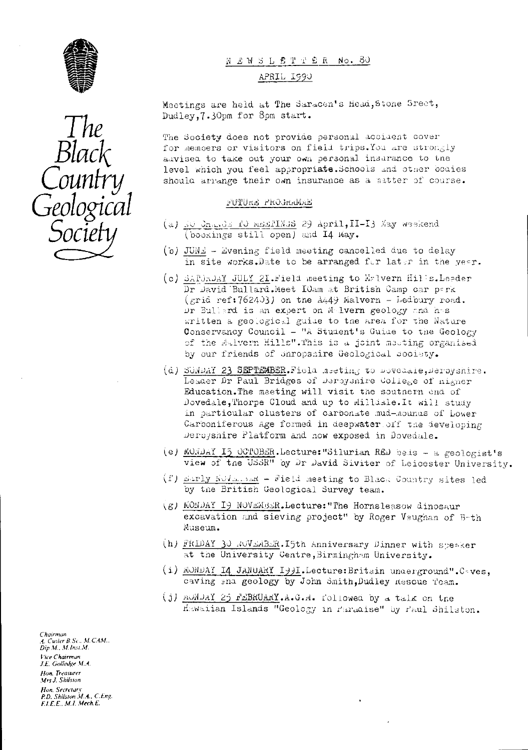



NEWSLETTER No. 80

#### APRIL 1990

Meetings are held at The Saracen's Head, Stone Sreet, Dudley, 7.30pm for 8pm start.

The Society does not provide personal accident cover for members or visitors on field trips. You are strongly auvised to take out your own personal insurance to the level which you feel appropriate. Schools and other boaies should arrange their own insurance as a matter of course.

#### FUTURE PROGRAMENT

- (a) it Chards 10 memPINS 29 April, II-I3 May weekend (bookings still open) and I4 May.
- (b) JUNE Evening field meeting cancelled due to delay in site works.Date to be arranged for later in the year.
- (c) SAPJAJY JULY 21. Field meeting to Malvern Hills. Leader Dr Javid Bullard. Meet IOam at British Camp car perk  $(\varepsilon r i \hat{\alpha} r f f f' f f f f)$  on the A449 Malvern - Ledbury road. Dr Bullerd is an expert on Melvern geology and has written a geological guise to the area for the Nature Conservancy Council - "A Student's Guide to the Geology of the Aulvern Hills". This is a joint meeting organised by our friends of Shropshire Geological Society.
- (d) SUNDAY 23 SEPTEMBER. Field meeting to Dovedsie, Deroyshire. Leader Dr Paul Bridges of Derbysnire College of nigher Education. The meeting will visit the soutnern end of Dovedale, Thorpe Cloud and up to Milldale. It will study in particular clusters of carbonate mud-mounds of Lower Carboniferous Age formed in deepwater off the developing Derbyshire Platform and now exposed in Dovedale.
- (e) MONDAY I5 OCTOBER.Lecture: "Silurian RED bels a geologist's view of the USSR" oy Dr David Siviter of Leicester University.
- (f) marly NoValsam Field meeting to Black Country sites led by the British Geological Survey team.
- (g) MONDAY I9 NOVEMBER. Lecture: "The Hornsleasow dinosaur excavation and sieving project" by Roger Vsughan of B-th Museum.
- (h) FRIDAY 30 NOVEMBER. I5th Anniversary Dinner with speaker at the University Centre, Birmingham University.
- (i) MONDAY I4 JANUARY I99I. Lecture: Britain underground". Coves, caving and geology by John Smith, Dudley Rescue Team.
- (j) munday 25 reBRUARY.A.G.M. followed by a talk on the Hawaiian Islands "Geology in Paradise" by Paul Shilston.

Chairman A. Cutler B.Sc., M.CAM.. Dip.M., M.Inst.M. Vice Chairman J.E. Golledge M.A. Hon. Treasurer Mrs J. Shilston Hon, Secretary<br>P.D. Shilston M.A., C.Eng.<br>F.I.E.E., M.I. Mech.E.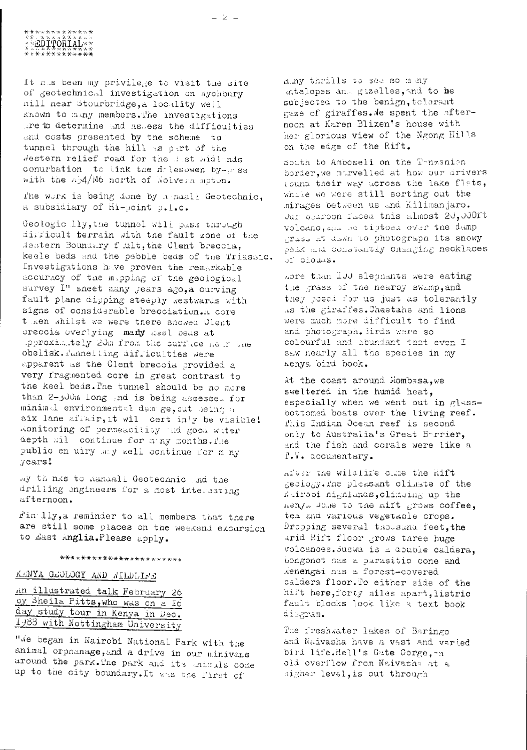#### $\begin{picture}(18,10) \put(0,0){\vector(1,0){30}} \put(10,0){\vector(1,0){30}} \put(10,0){\vector(1,0){30}} \put(10,0){\vector(1,0){30}} \put(10,0){\vector(1,0){30}} \put(10,0){\vector(1,0){30}} \put(10,0){\vector(1,0){30}} \put(10,0){\vector(1,0){30}} \put(10,0){\vector(1,0){30}} \put(10,0){\vector(1,0){30}} \put(10,0){\vector(1,0){30}} \put(10,0){\vector(1$ Ŷ**ĸĎĨŶŎŔĨÁĹ**ŶŶ \*\*\*\*\*\*\*\*\*\*\*\*\*

It mus been my privilege to visit the site of geotechnical investigation on Aychoury nill near Stourbridge, a locality well Known to many members. The investigations are to determine and assess the difficulties and costs presented by the scheme to tunnel through the hill as oart of the destern relief road for the Just Midlands conurbation to link the Holesowen by-ouss with the mp4/M6 north of Wolvern mpton.

The work is being done by manali Geotechnic, a subsidiary of Hi-point p.l.c.

Geologic lly, the tunnel will pass through difficult terrain sith the fault zone of the Mestern Boundary fult, the Clent breccia, keele beds and the pebble beds of the Triassic. Investigations have proven the remarkable accuracy of the mapping of the geological survey I" sneet many jears ago, a curving fault plane dipping steeply westwards with signs of considerable brecciation.A core t ken whilst we were there showed Clent preccia overlying many seel beas at spproximately 20m from the surface near the obelisk. Junnelling difficulties were apparent as the Clent breccia provided a very fragmented core in great contrast to the keel beds. The tunnel should be no more than 2-joon long and is being assessed for minimal environmental damage, out being a six lane affair, it will cert inly be visible! monitoring of permeasility and good water depth will continue for many months. The public en uiry may well continue for m ny years!

My thinks to Kandali Geotechnic And the drilling engineers for a most interesting afternoon.

Fin lly, a reminder to all members that there are still some places on the weskend excursion to dast Anglia. Please apply.

#### \*\*\*\*\*\*\*\*\*\*\*\*\*\*\*\*\*\*\*\*\*\*

### KENYA GEOLOGY AND MILDLIE'S

An illustrated talk February 26 oy Sheila Pitts, who was on a I6 day study tour in Kenya in Dec. 1988 with Nottingham University

"We began in Nairobi National Park with the animal orphanage, and a drive in our minivans around the park. The park and its animals come up to the city boundary. It was the first of

niny thrills to see so many intelopes and guzelles, and to be subjected to the benign, tolerant gaze of giraffes. Me spent the afternoon at Karen Blixen's house with her glorious view of the Ngong Hills on the edge of the Rift.

South to Amboseli on the Tonzanion border, we marvelled at how our drivers round their way across the lake firts, while we were still sorting out the mirages between us and Kilimanjaro. Jur Searson Paced this almost 20,000ft volcano, and he tiptoed over the damp grass at dawn to photograph its snowy peak and constantly changing necklaces of clouds.

Aore than IOO elephants were eating the grass of the nearby swamp, and they posed for us just as tolerantly us the giraffes. Cheetahs and lions were much more difficult to find and photograph. Birds were so colourful and abundant that even I saw nearly all the species in my Kenya biri book.

At the coast around Mombasa, we sweltered in the humid heat, especially when we went out in glassbottomed boats over the living reef. This Indian Ocean reef is second only to Australia's Great Barrier, and the fish and corals were like a I.V. accumentary.

after the wildlife cume the Hift geology. The pleasant climate of the nairobi nighlands, climaing up the nenja Dome to the nift grows coffee, tea and various vegetable crops. Dropping several thousand feet, the arid Rift floor grows three huge volcanoes. Suswa is a couple caldera. Longonot has a parasitic cone and Menengai nus a forest-covered caldera floor. To either side of the hift here, forty miles apart, listric fault blocks look like a text book diagram.

The freshwater lakes of Baringo and Naivasha have a vast and varied bird life.Hell's Gate Corge, an oli overflow from Naivasha at a nigher level, is out through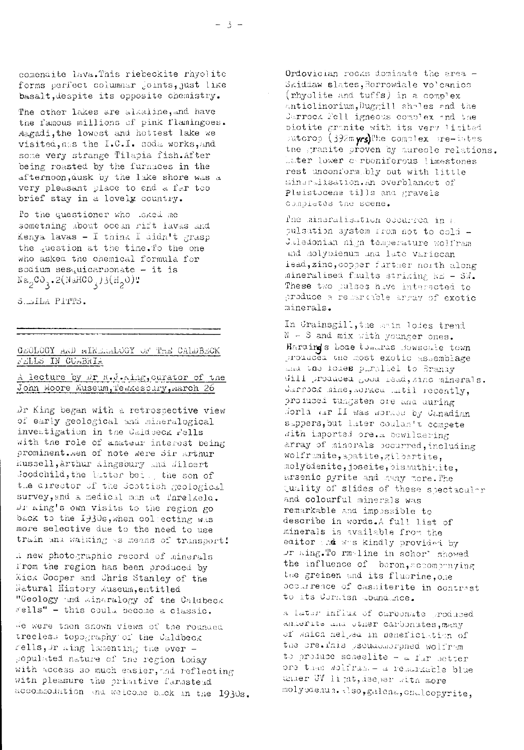comendite lava. This riebeckite rhyolite forms perfect columnar joints, just like basalt, despite its opposite chemistry.

The other lakes are alkaline, and have the famous millions of pink flamingoes. Magadi, the lowest and hottest lake we visited, has the I.C.I. soda works, and some very strange Tilapia fish. After being roasted by the furnaces in the afternoon, dusk by the lake shore was a very pleasant place to end a far too brief stay in a lovely country.

To the questioner who sked me something about ocean rift lavas and Kenya lavas - I think I didn't grasp the question at the time. To the one who asked the chemical formula for sodium sesquicarbonate - it is  $Na_0CO_3.2(NaHCO_3)3(H_0O)$ "

S. LLA PITTS.

#### GEOLOGY AND EINEREDOGY OF THE CALDBECK FELLS IN CURBRIA

A lecture by Dr K.J.Aing, curator of the John Hoore Museum, Pewkesbury, March 26

Dr King began with a retrospective view of early geological and mineralogical investigation in the Caldoeck Fells with the role of amateur interest being prominent.men of note were sir arthur Russell, Arthur Kingsbury and Jilbert Joodchild, the latter bei., the son of the director of the Scottish geological survey, and a medical man at forelaela. Dr ning's own visits to the region go back to the 1930s, when collecting was more selective due to the need to use train and walking as means of transport!

i new photographic record of minerals from the region has been produced by Mick Cooper and Chris Stanley of the Natural History Auseum, entitled "Geology and Aineralogy of the Caldbeck rells" - this could become a classic.

We were then shown views of the rounded treeless topography of the Caldbeck rells, Mr Aing lamenting the over populated nature of the region today with access so much easier, ad reflecting with pleasure the primitive farmstead accommodation and welcome buck in the 1930s.

Ordovician rocks dominate the area -Skiddaw slates, Borrowdale volcanics (rhyolite and tuffs) in a complex antiolinorium, Duggill shales and the Jarrock Fell igneous complex and the biotite granite with its very limited sutcrop (392m vrs)The complex sre-intes the granite proven by sureole relations. Later lower corboniferous limestones rest unconform bly but with little minaralisation.An overblanket of Pleistocene tills and gravels completes the scene.

The mineralisation occurred in a pulsation system from not to cold -Jaledonian nigh temperature wolfram and holypdenum und late variscan iead, zinc, copper further north along mineralised faults striking NE - SM. These two pulses have interacted to produce a remarkable array of exotic minerals.

In Grainsgill, the sain lodes trend  $N - S$  and mix with younger ones. Hardings Lode towards Bowscale town promuced the most exotic assemblage and the lodes purallel to Brandy will produced good read, zinc minerals. Jarrock mine, sorked mutil recently, profuced tungsten ore and during dorld ar II was worked by Canadian suppers, but later coulan't compete with imported ore. a bowildering array of minorals becurred, including wolframite, apatite, gilbertite, molyodenite, joseite, bismuthinite, arsenic pyrite and many more. The quality of slides of these spectaculer and colourful minerals was remarkable and impossible to describe in words.A full list of minerals is available from the editor as was kindly provided by Ur aing. To rm-line in schor' showed the influence of beron, accompanying the greisen and its fluorine, one boomrence of cassiterite in contrast to its Cornish abundance.

a later influx of carbonate produced anderite and other carbonites, many of which helped in peneficiation of the ore. This pseudomorphed wolfram to produce scheelite - a fur better ore than wolfram - a remarkable blue unier UV ligat, deeper with more molyodenum. also, galena, chalcopyrite,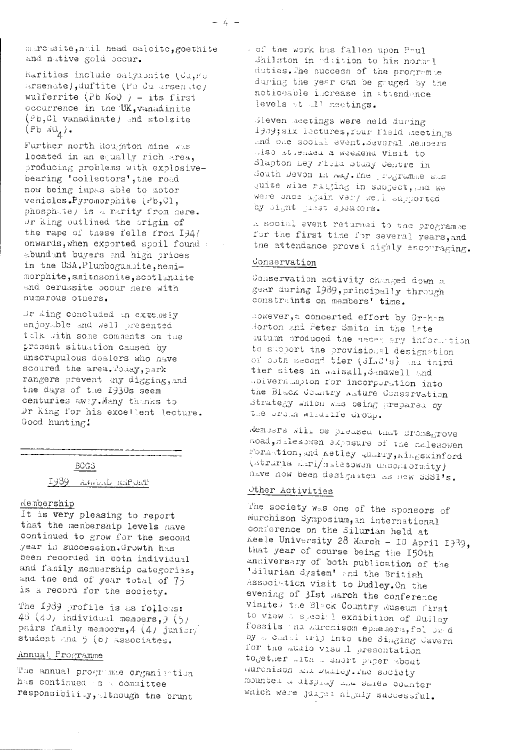marcasite, noil head calcite, goethite and native gold occur.

harities include palyabhite (Ca, Fo arsenate), duftite (Fa du arsenate) wulferrite (Pb MoQ ) - its first occurrence in the UK, vanadinite (Pb, 01 vanadinate) and stolzite  $(Pb \ NQ_A)$ .

Further north Roughton mine was located in an equally rich area, producing problems with explosivebearing 'collectors', the road now being impas able to motor venicles.Pyromorphite (rb, Cl, phosphate) is a rarity from here. Or king outlined the origin of the rape of these fells from 194/ onwards, when exported spoil found abundant buyers and high prices in the USA. Plumbogummite, hemimorphite, smitnsonite, sootlandite and cerussite occur here with numerous others.

Dr Aing concluded an extensiv enjoyable and well presented talk with some comments on the prosent situation caused by unscrupulous dealers who nave scoured the area. Polay, park rangers prevent any digging, and the days of the 1930s seem centuries away. Many thanks to Dr King for his excellent lecture. Good hunting.

#### BCGS

Ty39 Anniel Richme

#### Memoership

It is very pleasing to report that the membership levels have continued to grow for the second year in succession. Growth has been recorded in poth individual and family membership categories, and the end of year total of 75 is a record for the society.

The 1989 profile is as follows: 43  $(40)$  individual members,  $(5)$ pairs family memoers, 4 (4) junior/ student and 5 (6) associates.

#### Annual Programme

The annual programse organisation has continued as committee responsibility, Itnough the brunt

of the work has fallen upon Poul Shilston in edition to his normel duties. The success of the programse during the year can be gruged by the noticeable increase in attendance levels at 11 meetings.

dleven meetings were neld during 1989; six lectures, four field meetings and one social event. Several members also attended a weekend visit to Slapton mey risia staay Centre in South Devon in maj. The programme was quite wile ralging in sabject, and we were once again very well supported by sight just speakers.

a social event returned to the programme for the first time for several years, and the attendance proved highly encouraging.

#### Conservation

Conservation activity changed down a gear during 1989, principally through constraints on members' time.

however, a concerted effort by Graham Horton and Peter Smith in the late autumn produced the medes ary information to support the provisional designation of both second tier (3LaC's) and third tier sites in aalsall, Sandwell and Rolvernumpton for incorporation into the Black Commitry Rature Conservation Strategy which was being prepared by the ordin allumine droup.

Members will be preased that Sromsgrove noad, ilesowen exposure of the nalesowen Formation, and netley quarry, aimswinford (struria Liri/hilesowen unconformity) nave now been designated as new SSSI's.

#### Other Activities

The society was one of the sponsors of Murchison Symposium, an international conference on the Silurian held at Keele University 28 March - 10 April 1939, that year of course being the 150th anniversary of both publication of the 'Silurian System' and the British Association visit to Dudley. On the evening of 3Ist March the conference visited the Block Country Auseum first to view a special exhibition of Dudley fossils in Aurenisom ephemera, fol owd by a canal trip into the Singing Cavern for the audio visual presentation together with a short paper about durchison and Dualey. The society mounted a display and sales counter which were jurged highly successful.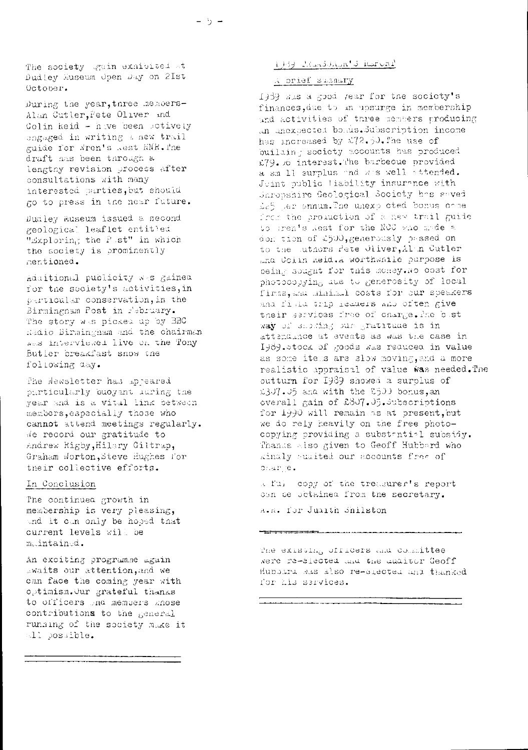The society gain exhibited at Dudley Museum Open Day on 2Ist October.

During the year, three members-Alan Cutler, Pete Oliver and Colin heid - have been sotively engaged in writing a new trail guide for Wren's Rest WNR. The draft has been through a lengtny revision process after consultations with many interested parties, but should go to press in the near future.

Dudley Ruseum issued a second geological leaflet entitled "Exploring the P st" in which the society is prominently mentioned.

Additional publicity was gained. for the society's activities, in particular conservation, in the Birmingnam Post in February. The story was picked up by BBC Radio Birmingham and the chairman was interviewed live on the Tony Butler creakfast snow the following day.

The Newsletter has appeared particularly buoyant luring the year and is a vital link between members, especially those who cannot attend meetings regularly. We record our gratitude to Andrew Rigby, Hilary Giltrap, Graham Worton, Steve Hughes for their collective efforts.

#### In Conclusion

The continued growth in membership is very pleasing, and it can only be hoped that current levels will be maintained.

An exciting programme again awaits our attention, and we can face the coming year with optimism.Our grateful thanks to officers and members knose contributions to the general running of the society make it all possible.

### 1969 Rendman's horized

#### A prief summary

1969 was a good year for the society's finances, due to an upsurge in membership and activities of three members producing an unexpected bomus. Subscription income has increased by £72.50. The use of building society accounts has produced i79. o interest. The barbecue provided a sm 11 surplus and was well attended. Juint public liability insurance with Shropshire Geological Society has saved Le5 ler snnum. The unexp oted bonus come from the production of a new trail guide to gren's kest for the NCC who made a don tion of £500, generously passed on to the luthors rete Oliver, Alan Cutler ana Colin Reid.A worthwhile purpose is being sought for this money. No cost for photocopying aue to generosity of local firms, and minimal costs for our speakers and finid trip readers and often give their services free of charge. The bost way of showing our gratitude is in attendince at events as was the case in I989.stock of goods was reduced in value as some items are slow moving, and a more realistic appraisal of value was needed. The outturn for 1989 showed a surplus of 1307.05 and with the 8500 borus, an overall gain of £807.05. Subscriptions for 1990 will remain as at present, but we do rely heavily on the free photocopying providing a substantial subsidy. Thanks also given to Geoff Hubbard who kinaly suaited our accounts free of diar e.

a full copy of the treasurer's report oan ce octained from the secretary. A.R. for Juaith Shilston

<del>tri</del> denominación establecer el producto

the existing officers and committee Nere re-elected and the additer Geoff Hubbard Mas also re-elected and thanked for his services.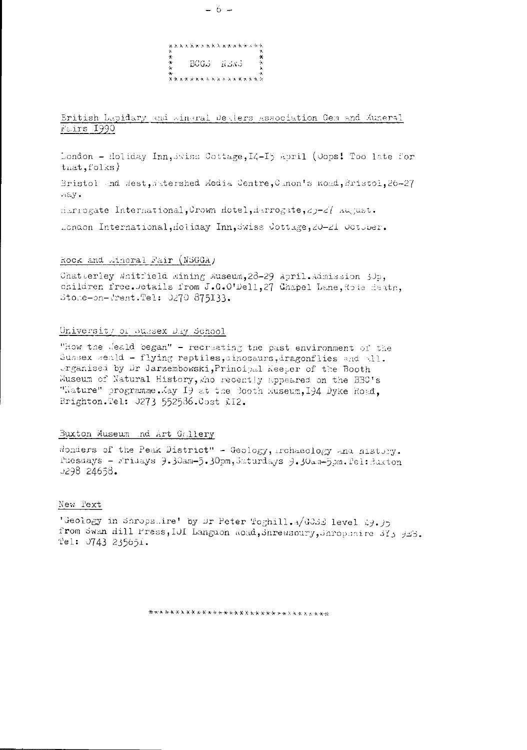

#### Eritish Lapidary and Aineral Dealers Association Gem and Auneral Fairs 1990

London - Holiday Inn, swiss Cottage, I4-15 April (Oops! Too late for  $\text{tnat}, \text{fols}$ 

Bristol and west, Astershed Media Centre, Canon's Road, Bristol, 26-27  $n \in Y$ .

Harrogate International, Crown Hotel, Harrogate, 29-27 August.

London International, Holiday Inn, Swiss Cottage, 20-21 Cotober.

#### Rock and Mineral Fair (NSGGA)

Chatterley Whitfield Mining Museum, 28-29 April. Admission 30p, children free. Jetails from J.G.O'Dell, 27 Chapel Lane, Rote Heath, Stoke-on-Prent. Tel: 0270 875133.

#### University of Sussex Day School

"How the Jeald began" - recreating the past environment of the Sussex weald - flying reptiles, ainosaurs, iragonflies and all. organised by Dr Jarzembowski, Principal Keeper of the Booth Museum of Natural History, who recently appeared on the BBC's "Hature" programme. May 19 at the Booth Museum, 194 Dyke Road, Brighton.Tel: 0273 552536.Cost £12.

#### Buxton Museum nd Art Gallery

wonders of the Peak District" - Geology, mchaeology and nistory. Puesdays - r'ridays 9.30am-5.30pm, Jaturdays 9.30am-5pm. Pel: Buxton  $J298$  24658.

#### New Fext

'Geology in Shrops.ire' by Dr Peter Toghill. A/GOSS level 29.95 from Swan Hill Press, IOI Languon Road, Shrewsoury, Shropenire 313 923. Tel:  $0743235651$ .

\*\*\*\*\*\*\*\*\*\*\*\*\*\*\*\*\*\*\*\*\*\*\*\*\*\*\*\*\*\*\*\*\*\*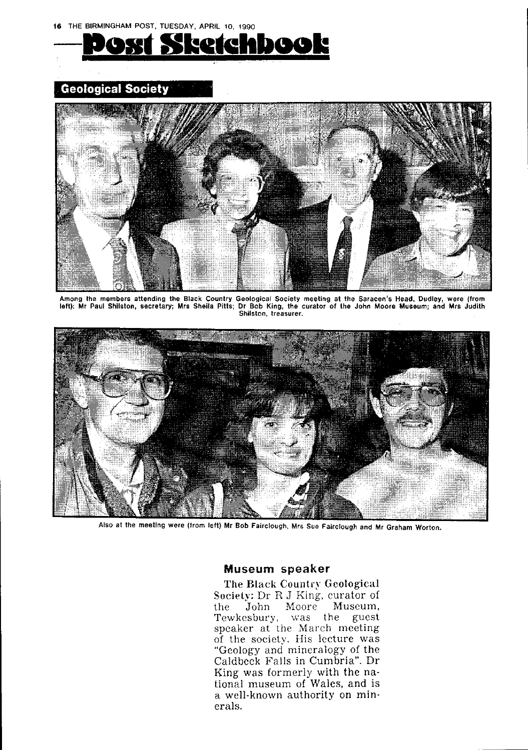

## **Geological Society**



Among the members attending the Black Country Geological Society meeting at the Saracen's Head, Dudley, were (from left): Mr Paul Shilston, secretary; Mrs Sheila Pitts; Dr Bob King, the curator of the John Moore Museum; and Mrs Judith Shilston, treasurer.



Also at the meeting were (from left) Mr Bob Fairclough, Mrs Sue Fairclough and Mr Graham Worton.

### Museum speaker

The Black Country Geological Society: Dr R J King, curator of the John Moore Museum. Tewkesbury, was the guest speaker at the March meeting of the society. His lecture was "Geology and mineralogy of the Caldbeck Falls in Cumbria". Dr King was formerly with the national museum of Wales, and is a well-known authority on minerals.